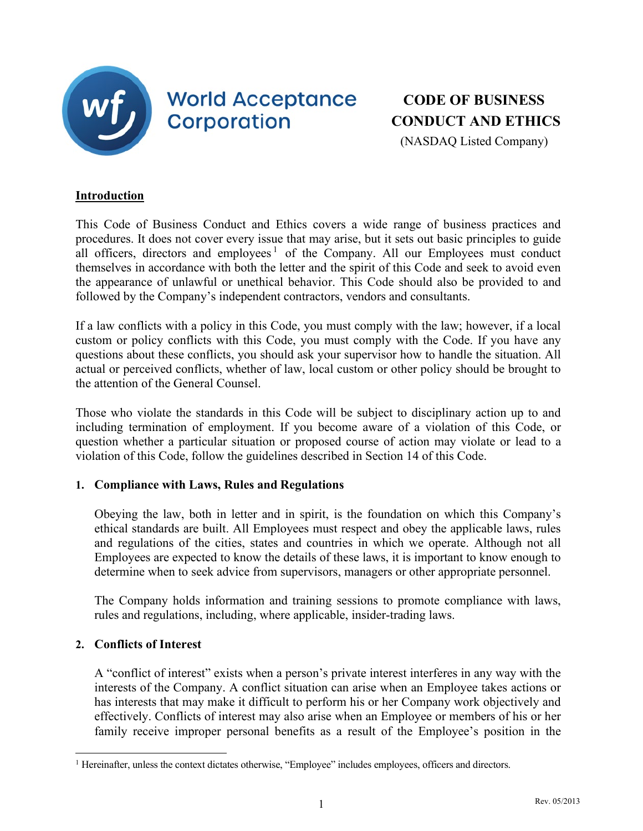

## **World Acceptance Corporation**

# **CODE OF BUSINESS CONDUCT AND ETHICS**

(NASDAQ Listed Company)

### **Introduction**

This Code of Business Conduct and Ethics covers a wide range of business practices and procedures. It does not cover every issue that may arise, but it sets out basic principles to guide all officers, directors and employees<sup>[1](#page-0-0)</sup> of the Company. All our Employees must conduct themselves in accordance with both the letter and the spirit of this Code and seek to avoid even the appearance of unlawful or unethical behavior. This Code should also be provided to and followed by the Company's independent contractors, vendors and consultants.

If a law conflicts with a policy in this Code, you must comply with the law; however, if a local custom or policy conflicts with this Code, you must comply with the Code. If you have any questions about these conflicts, you should ask your supervisor how to handle the situation. All actual or perceived conflicts, whether of law, local custom or other policy should be brought to the attention of the General Counsel.

Those who violate the standards in this Code will be subject to disciplinary action up to and including termination of employment. If you become aware of a violation of this Code, or question whether a particular situation or proposed course of action may violate or lead to a violation of this Code, follow the guidelines described in Section 14 of this Code.

## **1. Compliance with Laws, Rules and Regulations**

Obeying the law, both in letter and in spirit, is the foundation on which this Company's ethical standards are built. All Employees must respect and obey the applicable laws, rules and regulations of the cities, states and countries in which we operate. Although not all Employees are expected to know the details of these laws, it is important to know enough to determine when to seek advice from supervisors, managers or other appropriate personnel.

The Company holds information and training sessions to promote compliance with laws, rules and regulations, including, where applicable, insider-trading laws.

## **2. Conflicts of Interest**

A "conflict of interest" exists when a person's private interest interferes in any way with the interests of the Company. A conflict situation can arise when an Employee takes actions or has interests that may make it difficult to perform his or her Company work objectively and effectively. Conflicts of interest may also arise when an Employee or members of his or her family receive improper personal benefits as a result of the Employee's position in the

<span id="page-0-0"></span><sup>&</sup>lt;sup>1</sup> Hereinafter, unless the context dictates otherwise, "Employee" includes employees, officers and directors.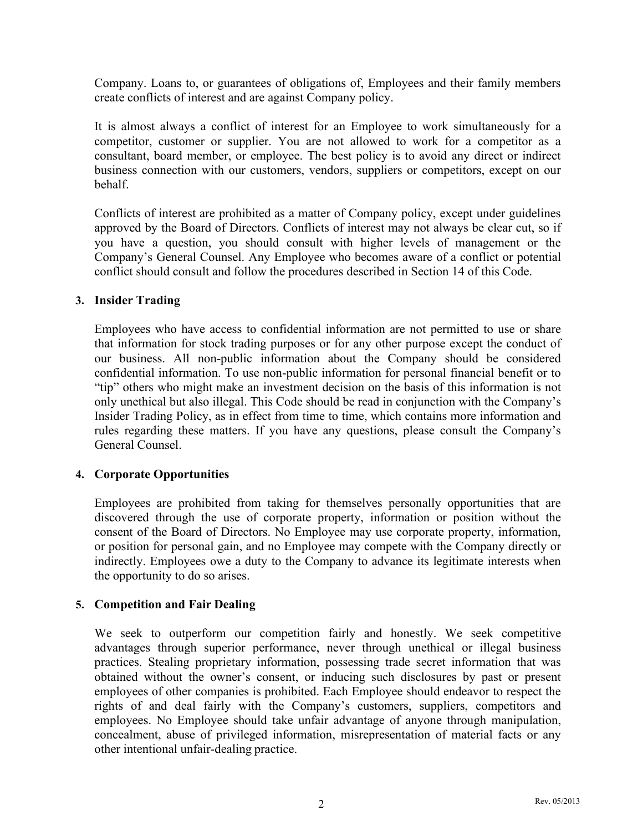Company. Loans to, or guarantees of obligations of, Employees and their family members create conflicts of interest and are against Company policy.

It is almost always a conflict of interest for an Employee to work simultaneously for a competitor, customer or supplier. You are not allowed to work for a competitor as a consultant, board member, or employee. The best policy is to avoid any direct or indirect business connection with our customers, vendors, suppliers or competitors, except on our behalf.

Conflicts of interest are prohibited as a matter of Company policy, except under guidelines approved by the Board of Directors. Conflicts of interest may not always be clear cut, so if you have a question, you should consult with higher levels of management or the Company's General Counsel. Any Employee who becomes aware of a conflict or potential conflict should consult and follow the procedures described in Section 14 of this Code.

#### **3. Insider Trading**

Employees who have access to confidential information are not permitted to use or share that information for stock trading purposes or for any other purpose except the conduct of our business. All non-public information about the Company should be considered confidential information. To use non-public information for personal financial benefit or to "tip" others who might make an investment decision on the basis of this information is not only unethical but also illegal. This Code should be read in conjunction with the Company's Insider Trading Policy, as in effect from time to time, which contains more information and rules regarding these matters. If you have any questions, please consult the Company's General Counsel.

#### **4. Corporate Opportunities**

Employees are prohibited from taking for themselves personally opportunities that are discovered through the use of corporate property, information or position without the consent of the Board of Directors. No Employee may use corporate property, information, or position for personal gain, and no Employee may compete with the Company directly or indirectly. Employees owe a duty to the Company to advance its legitimate interests when the opportunity to do so arises.

#### **5. Competition and Fair Dealing**

We seek to outperform our competition fairly and honestly. We seek competitive advantages through superior performance, never through unethical or illegal business practices. Stealing proprietary information, possessing trade secret information that was obtained without the owner's consent, or inducing such disclosures by past or present employees of other companies is prohibited. Each Employee should endeavor to respect the rights of and deal fairly with the Company's customers, suppliers, competitors and employees. No Employee should take unfair advantage of anyone through manipulation, concealment, abuse of privileged information, misrepresentation of material facts or any other intentional unfair-dealing practice.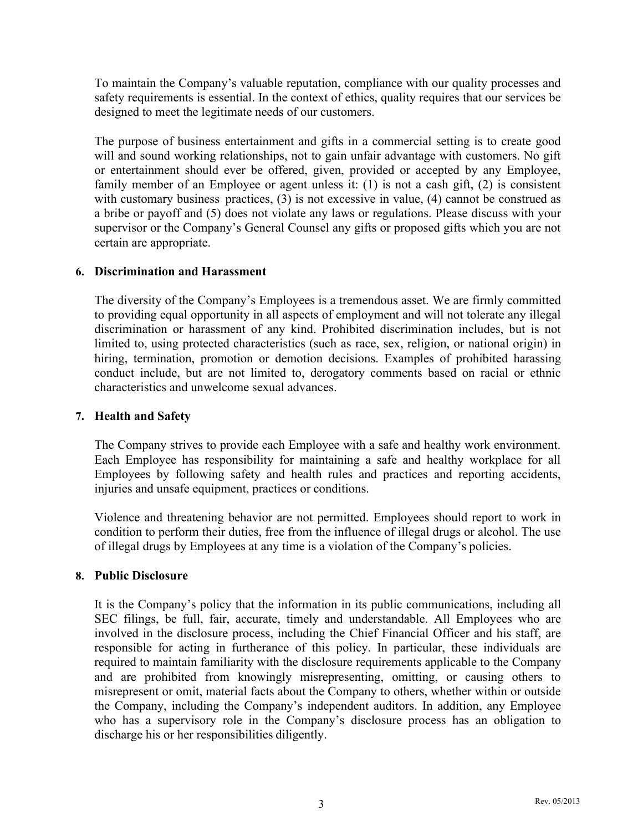To maintain the Company's valuable reputation, compliance with our quality processes and safety requirements is essential. In the context of ethics, quality requires that our services be designed to meet the legitimate needs of our customers.

The purpose of business entertainment and gifts in a commercial setting is to create good will and sound working relationships, not to gain unfair advantage with customers. No gift or entertainment should ever be offered, given, provided or accepted by any Employee, family member of an Employee or agent unless it: (1) is not a cash gift, (2) is consistent with customary business practices, (3) is not excessive in value, (4) cannot be construed as a bribe or payoff and (5) does not violate any laws or regulations. Please discuss with your supervisor or the Company's General Counsel any gifts or proposed gifts which you are not certain are appropriate.

#### **6. Discrimination and Harassment**

The diversity of the Company's Employees is a tremendous asset. We are firmly committed to providing equal opportunity in all aspects of employment and will not tolerate any illegal discrimination or harassment of any kind. Prohibited discrimination includes, but is not limited to, using protected characteristics (such as race, sex, religion, or national origin) in hiring, termination, promotion or demotion decisions. Examples of prohibited harassing conduct include, but are not limited to, derogatory comments based on racial or ethnic characteristics and unwelcome sexual advances.

#### **7. Health and Safety**

The Company strives to provide each Employee with a safe and healthy work environment. Each Employee has responsibility for maintaining a safe and healthy workplace for all Employees by following safety and health rules and practices and reporting accidents, injuries and unsafe equipment, practices or conditions.

Violence and threatening behavior are not permitted. Employees should report to work in condition to perform their duties, free from the influence of illegal drugs or alcohol. The use of illegal drugs by Employees at any time is a violation of the Company's policies.

#### **8. Public Disclosure**

It is the Company's policy that the information in its public communications, including all SEC filings, be full, fair, accurate, timely and understandable. All Employees who are involved in the disclosure process, including the Chief Financial Officer and his staff, are responsible for acting in furtherance of this policy. In particular, these individuals are required to maintain familiarity with the disclosure requirements applicable to the Company and are prohibited from knowingly misrepresenting, omitting, or causing others to misrepresent or omit, material facts about the Company to others, whether within or outside the Company, including the Company's independent auditors. In addition, any Employee who has a supervisory role in the Company's disclosure process has an obligation to discharge his or her responsibilities diligently.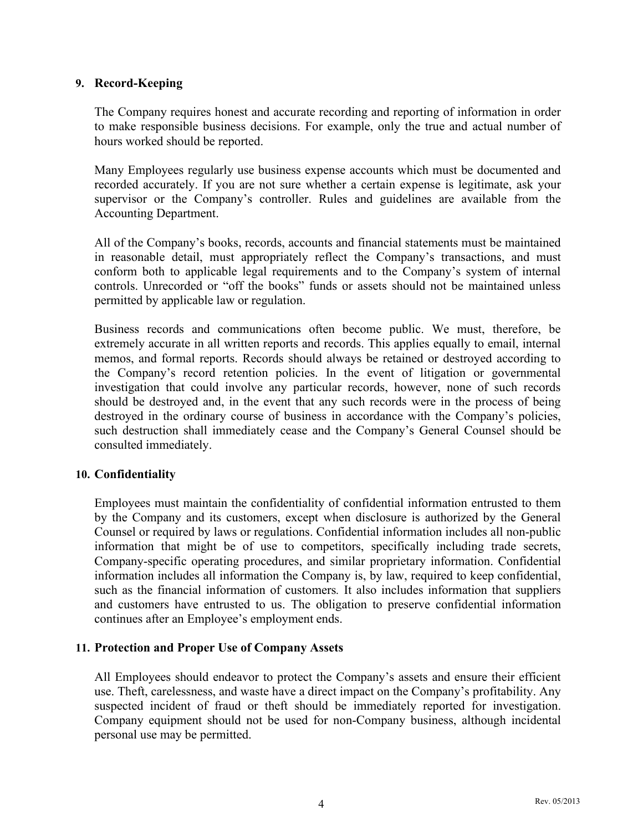#### **9. Record-Keeping**

The Company requires honest and accurate recording and reporting of information in order to make responsible business decisions. For example, only the true and actual number of hours worked should be reported.

Many Employees regularly use business expense accounts which must be documented and recorded accurately. If you are not sure whether a certain expense is legitimate, ask your supervisor or the Company's controller. Rules and guidelines are available from the Accounting Department.

All of the Company's books, records, accounts and financial statements must be maintained in reasonable detail, must appropriately reflect the Company's transactions, and must conform both to applicable legal requirements and to the Company's system of internal controls. Unrecorded or "off the books" funds or assets should not be maintained unless permitted by applicable law or regulation.

Business records and communications often become public. We must, therefore, be extremely accurate in all written reports and records. This applies equally to email, internal memos, and formal reports. Records should always be retained or destroyed according to the Company's record retention policies. In the event of litigation or governmental investigation that could involve any particular records, however, none of such records should be destroyed and, in the event that any such records were in the process of being destroyed in the ordinary course of business in accordance with the Company's policies, such destruction shall immediately cease and the Company's General Counsel should be consulted immediately.

#### **10. Confidentiality**

Employees must maintain the confidentiality of confidential information entrusted to them by the Company and its customers, except when disclosure is authorized by the General Counsel or required by laws or regulations. Confidential information includes all non-public information that might be of use to competitors, specifically including trade secrets, Company-specific operating procedures, and similar proprietary information. Confidential information includes all information the Company is, by law, required to keep confidential, such as the financial information of customers*.* It also includes information that suppliers and customers have entrusted to us. The obligation to preserve confidential information continues after an Employee's employment ends.

#### **11. Protection and Proper Use of Company Assets**

All Employees should endeavor to protect the Company's assets and ensure their efficient use. Theft, carelessness, and waste have a direct impact on the Company's profitability. Any suspected incident of fraud or theft should be immediately reported for investigation. Company equipment should not be used for non-Company business, although incidental personal use may be permitted.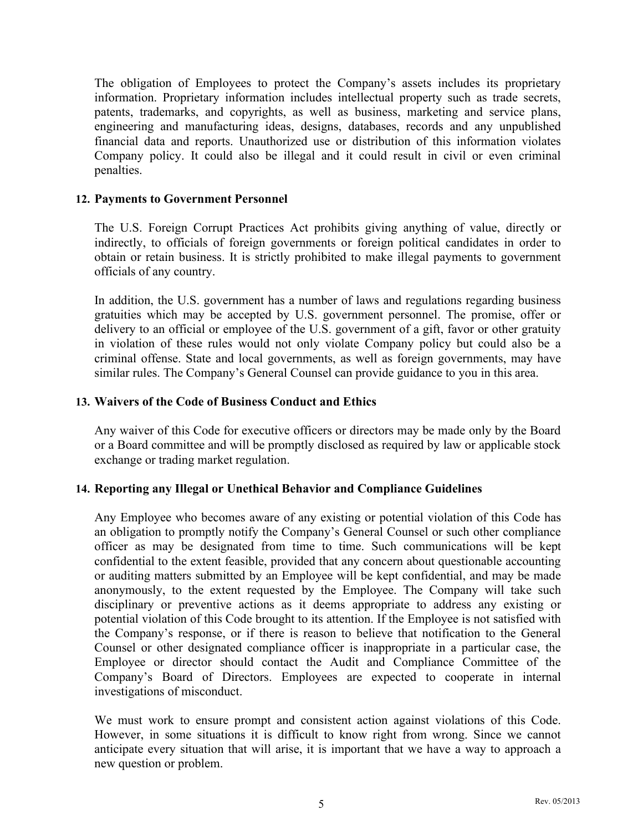The obligation of Employees to protect the Company's assets includes its proprietary information. Proprietary information includes intellectual property such as trade secrets, patents, trademarks, and copyrights, as well as business, marketing and service plans, engineering and manufacturing ideas, designs, databases, records and any unpublished financial data and reports. Unauthorized use or distribution of this information violates Company policy. It could also be illegal and it could result in civil or even criminal penalties.

#### **12. Payments to Government Personnel**

The U.S. Foreign Corrupt Practices Act prohibits giving anything of value, directly or indirectly, to officials of foreign governments or foreign political candidates in order to obtain or retain business. It is strictly prohibited to make illegal payments to government officials of any country.

In addition, the U.S. government has a number of laws and regulations regarding business gratuities which may be accepted by U.S. government personnel. The promise, offer or delivery to an official or employee of the U.S. government of a gift, favor or other gratuity in violation of these rules would not only violate Company policy but could also be a criminal offense. State and local governments, as well as foreign governments, may have similar rules. The Company's General Counsel can provide guidance to you in this area.

#### **13. Waivers of the Code of Business Conduct and Ethics**

Any waiver of this Code for executive officers or directors may be made only by the Board or a Board committee and will be promptly disclosed as required by law or applicable stock exchange or trading market regulation.

#### **14. Reporting any Illegal or Unethical Behavior and Compliance Guidelines**

Any Employee who becomes aware of any existing or potential violation of this Code has an obligation to promptly notify the Company's General Counsel or such other compliance officer as may be designated from time to time. Such communications will be kept confidential to the extent feasible, provided that any concern about questionable accounting or auditing matters submitted by an Employee will be kept confidential, and may be made anonymously, to the extent requested by the Employee. The Company will take such disciplinary or preventive actions as it deems appropriate to address any existing or potential violation of this Code brought to its attention. If the Employee is not satisfied with the Company's response, or if there is reason to believe that notification to the General Counsel or other designated compliance officer is inappropriate in a particular case, the Employee or director should contact the Audit and Compliance Committee of the Company's Board of Directors. Employees are expected to cooperate in internal investigations of misconduct.

We must work to ensure prompt and consistent action against violations of this Code. However, in some situations it is difficult to know right from wrong. Since we cannot anticipate every situation that will arise, it is important that we have a way to approach a new question or problem.